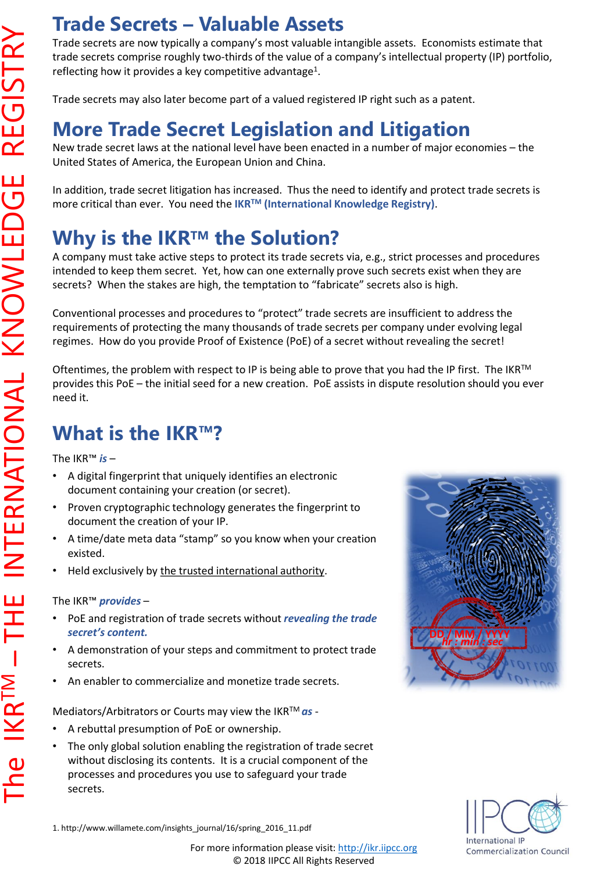## **Trade Secrets – Valuable Assets**

Trade secrets are now typically a company's most valuable intangible assets. Economists estimate that trade secrets comprise roughly two-thirds of the value of a company's intellectual property (IP) portfolio, reflecting how it provides a key competitive advantage<sup>1</sup>.

Trade secrets may also later become part of a valued registered IP right such as a patent.

## **More Trade Secret Legislation and Litigation**

New trade secret laws at the national level have been enacted in a number of major economies – the United States of America, the European Union and China.

In addition, trade secret litigation has increased. Thus the need to identify and protect trade secrets is more critical than ever. You need the **IKRTM (International Knowledge Registry)**.

## **Why is the IKRTM the Solution?**

A company must take active steps to protect its trade secrets via, e.g., strict processes and procedures intended to keep them secret. Yet, how can one externally prove such secrets exist when they are secrets? When the stakes are high, the temptation to "fabricate" secrets also is high.

Conventional processes and procedures to "protect" trade secrets are insufficient to address the requirements of protecting the many thousands of trade secrets per company under evolving legal regimes. How do you provide Proof of Existence (PoE) of a secret without revealing the secret!

Oftentimes, the problem with respect to IP is being able to prove that you had the IP first. The IKR™ provides this PoE – the initial seed for a new creation. PoE assists in dispute resolution should you ever need it.

## **What is the IKR™?**

The IKR™ *is* –

- A digital fingerprint that uniquely identifies an electronic document containing your creation (or secret).
- Proven cryptographic technology generates the fingerprint to document the creation of your IP.
- A time/date meta data "stamp" so you know when your creation existed.
- Held exclusively by the trusted international authority.

#### The IKR™ *provides* –

- PoE and registration of trade secrets without *revealing the trade secret's content.*
- A demonstration of your steps and commitment to protect trade secrets.
- An enabler to commercialize and monetize trade secrets.

Mediators/Arbitrators or Courts may view the IKRTM *as* -

- A rebuttal presumption of PoE or ownership.
- The only global solution enabling the registration of trade secret without disclosing its contents. It is a crucial component of the processes and procedures you use to safeguard your trade secrets.





1. http://www.willamete.com/insights\_journal/16/spring\_2016\_11.pdf

For more information please visit: [http://ikr.iipcc.org](http://ikr.iipcc.org/) © 2018 IIPCC All Rights Reserved